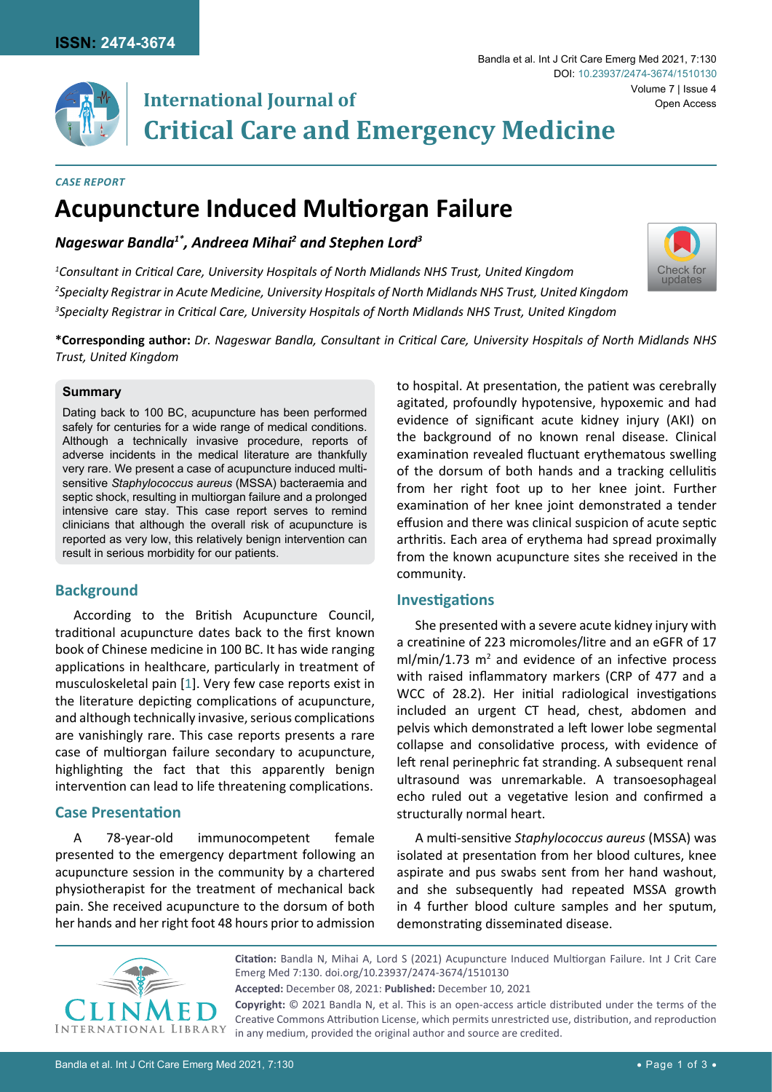

# **International Journal of Critical Care and Emergency Medicine**

#### *Case Report*

# **Acupuncture Induced Multiorgan Failure**

*Nageswar Bandla1\*, Andreea Mihai2 and Stephen Lord3*

*1 Consultant in Critical Care, University Hospitals of North Midlands NHS Trust, United Kingdom 2 Specialty Registrar in Acute Medicine, University Hospitals of North Midlands NHS Trust, United Kingdom 3 Specialty Registrar in Critical Care, University Hospitals of North Midlands NHS Trust, United Kingdom*

**\*Corresponding author:** *Dr. Nageswar Bandla, Consultant in Critical Care, University Hospitals of North Midlands NHS Trust, United Kingdom*

### **Summary**

Dating back to 100 BC, acupuncture has been performed safely for centuries for a wide range of medical conditions. Although a technically invasive procedure, reports of adverse incidents in the medical literature are thankfully very rare. We present a case of acupuncture induced multisensitive *Staphylococcus aureus* (MSSA) bacteraemia and septic shock, resulting in multiorgan failure and a prolonged intensive care stay. This case report serves to remind clinicians that although the overall risk of acupuncture is reported as very low, this relatively benign intervention can result in serious morbidity for our patients.

# **Background**

According to the British Acupuncture Council, traditional acupuncture dates back to the first known book of Chinese medicine in 100 BC. It has wide ranging applications in healthcare, particularly in treatment of musculoskeletal pain [[1](#page-2-0)]. Very few case reports exist in the literature depicting complications of acupuncture, and although technically invasive, serious complications are vanishingly rare. This case reports presents a rare case of multiorgan failure secondary to acupuncture, highlighting the fact that this apparently benign intervention can lead to life threatening complications.

# **Case Presentation**

A 78-year-old immunocompetent female presented to the emergency department following an acupuncture session in the community by a chartered physiotherapist for the treatment of mechanical back pain. She received acupuncture to the dorsum of both her hands and her right foot 48 hours prior to admission to hospital. At presentation, the patient was cerebrally agitated, profoundly hypotensive, hypoxemic and had evidence of significant acute kidney injury (AKI) on the background of no known renal disease. Clinical examination revealed fluctuant erythematous swelling of the dorsum of both hands and a tracking cellulitis from her right foot up to her knee joint. Further examination of her knee joint demonstrated a tender effusion and there was clinical suspicion of acute septic arthritis. Each area of erythema had spread proximally from the known acupuncture sites she received in the community.

# **Investigations**

She presented with a severe acute kidney injury with a creatinine of 223 micromoles/litre and an eGFR of 17  $ml/min/1.73$   $m<sup>2</sup>$  and evidence of an infective process with raised inflammatory markers (CRP of 477 and a WCC of 28.2). Her initial radiological investigations included an urgent CT head, chest, abdomen and pelvis which demonstrated a left lower lobe segmental collapse and consolidative process, with evidence of left renal perinephric fat stranding. A subsequent renal ultrasound was unremarkable. A transoesophageal echo ruled out a vegetative lesion and confirmed a structurally normal heart.

A multi-sensitive *Staphylococcus aureus* (MSSA) was isolated at presentation from her blood cultures, knee aspirate and pus swabs sent from her hand washout, and she subsequently had repeated MSSA growth in 4 further blood culture samples and her sputum, demonstrating disseminated disease.



**Citation:** Bandla N, Mihai A, Lord S (2021) Acupuncture Induced Multiorgan Failure. Int J Crit Care Emerg Med 7:130. [doi.org/10.23937/2474-3674/15101](https://doi.org/10.23937/2474-3674/1510130)30 **Accepted:** December 08, 2021: **Published:** December 10, 2021 **Copyright:** © 2021 Bandla N, et al. This is an open-access article distributed under the terms of the Creative Commons Attribution License, which permits unrestricted use, distribution, and reproduction in any medium, provided the original author and source are credited.

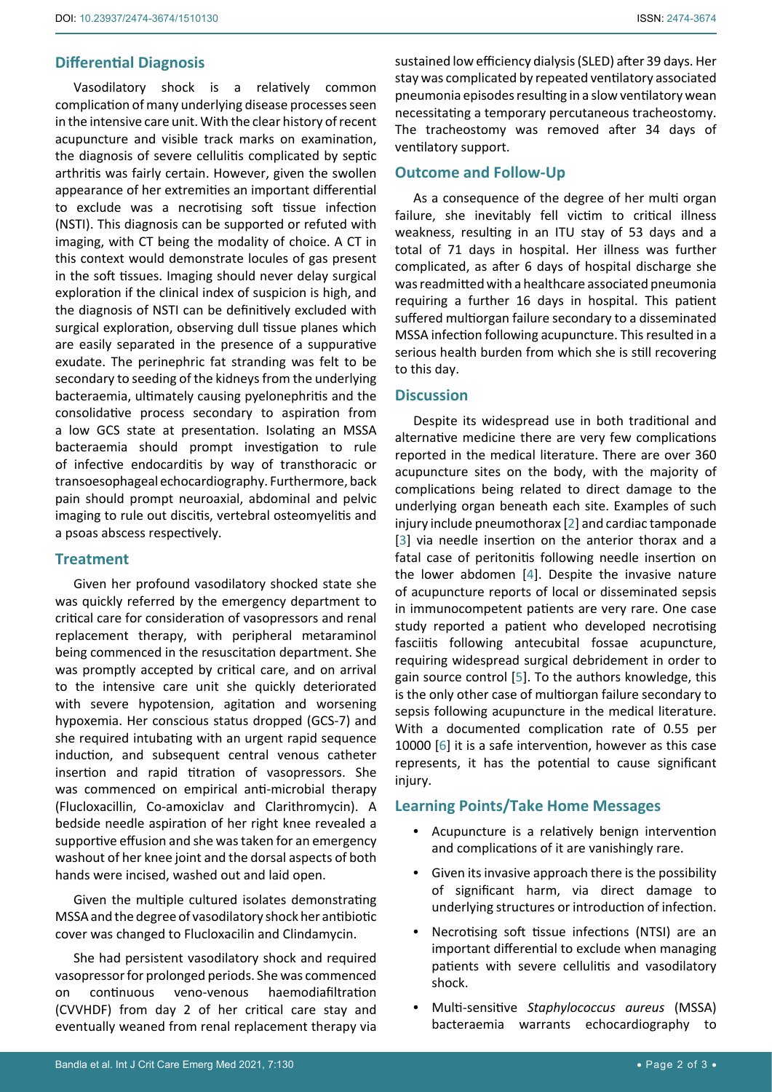## **Differential Diagnosis**

Vasodilatory shock is a relatively common complication of many underlying disease processes seen in the intensive care unit. With the clear history of recent acupuncture and visible track marks on examination, the diagnosis of severe cellulitis complicated by septic arthritis was fairly certain. However, given the swollen appearance of her extremities an important differential to exclude was a necrotising soft tissue infection (NSTI). This diagnosis can be supported or refuted with imaging, with CT being the modality of choice. A CT in this context would demonstrate locules of gas present in the soft tissues. Imaging should never delay surgical exploration if the clinical index of suspicion is high, and the diagnosis of NSTI can be definitively excluded with surgical exploration, observing dull tissue planes which are easily separated in the presence of a suppurative exudate. The perinephric fat stranding was felt to be secondary to seeding of the kidneys from the underlying bacteraemia, ultimately causing pyelonephritis and the consolidative process secondary to aspiration from a low GCS state at presentation. Isolating an MSSA bacteraemia should prompt investigation to rule of infective endocarditis by way of transthoracic or transoesophageal echocardiography. Furthermore, back pain should prompt neuroaxial, abdominal and pelvic imaging to rule out discitis, vertebral osteomyelitis and a psoas abscess respectively.

### **Treatment**

Given her profound vasodilatory shocked state she was quickly referred by the emergency department to critical care for consideration of vasopressors and renal replacement therapy, with peripheral metaraminol being commenced in the resuscitation department. She was promptly accepted by critical care, and on arrival to the intensive care unit she quickly deteriorated with severe hypotension, agitation and worsening hypoxemia. Her conscious status dropped (GCS-7) and she required intubating with an urgent rapid sequence induction, and subsequent central venous catheter insertion and rapid titration of vasopressors. She was commenced on empirical anti-microbial therapy (Flucloxacillin, Co-amoxiclav and Clarithromycin). A bedside needle aspiration of her right knee revealed a supportive effusion and she was taken for an emergency washout of her knee joint and the dorsal aspects of both hands were incised, washed out and laid open.

Given the multiple cultured isolates demonstrating MSSA and the degree of vasodilatory shock her antibiotic cover was changed to Flucloxacilin and Clindamycin.

She had persistent vasodilatory shock and required vasopressor for prolonged periods. She was commenced on continuous veno-venous haemodiafiltration (CVVHDF) from day 2 of her critical care stay and eventually weaned from renal replacement therapy via

sustained low efficiency dialysis (SLED) after 39 days. Her stay was complicated by repeated ventilatory associated pneumonia episodes resulting in a slow ventilatory wean necessitating a temporary percutaneous tracheostomy. The tracheostomy was removed after 34 days of ventilatory support.

### **Outcome and Follow-Up**

As a consequence of the degree of her multi organ failure, she inevitably fell victim to critical illness weakness, resulting in an ITU stay of 53 days and a total of 71 days in hospital. Her illness was further complicated, as after 6 days of hospital discharge she was readmitted with a healthcare associated pneumonia requiring a further 16 days in hospital. This patient suffered multiorgan failure secondary to a disseminated MSSA infection following acupuncture. This resulted in a serious health burden from which she is still recovering to this day.

## **Discussion**

Despite its widespread use in both traditional and alternative medicine there are very few complications reported in the medical literature. There are over 360 acupuncture sites on the body, with the majority of complications being related to direct damage to the underlying organ beneath each site. Examples of such injury include pneumothorax [[2\]](#page-2-1) and cardiac tamponade [\[3\]](#page-2-2) via needle insertion on the anterior thorax and a fatal case of peritonitis following needle insertion on the lower abdomen [\[4\]](#page-2-3). Despite the invasive nature of acupuncture reports of local or disseminated sepsis in immunocompetent patients are very rare. One case study reported a patient who developed necrotising fasciitis following antecubital fossae acupuncture, requiring widespread surgical debridement in order to gain source control [[5](#page-2-4)]. To the authors knowledge, this is the only other case of multiorgan failure secondary to sepsis following acupuncture in the medical literature. With a documented complication rate of 0.55 per 10000 [[6](#page-2-5)] it is a safe intervention, however as this case represents, it has the potential to cause significant injury.

### **Learning Points/Take Home Messages**

- **•**  Acupuncture is a relatively benign intervention and complications of it are vanishingly rare.
- **•**  Given its invasive approach there is the possibility of significant harm, via direct damage to underlying structures or introduction of infection.
- Necrotising soft tissue infections (NTSI) are an important differential to exclude when managing patients with severe cellulitis and vasodilatory shock.
- **•**  Multi-sensitive *Staphylococcus aureus* (MSSA) bacteraemia warrants echocardiography to